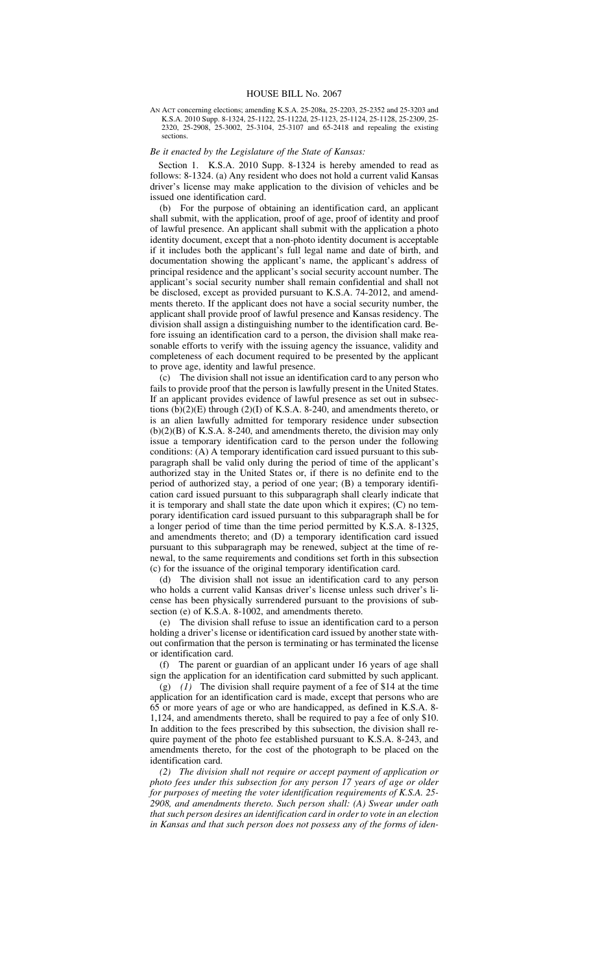AN ACT concerning elections; amending K.S.A. 25-208a, 25-2203, 25-2352 and 25-3203 and K.S.A. 2010 Supp. 8-1324, 25-1122, 25-1122d, 25-1123, 25-1124, 25-1128, 25-2309, 25- 2320, 25-2908, 25-3002, 25-3104, 25-3107 and 65-2418 and repealing the existing sections.

## *Be it enacted by the Legislature of the State of Kansas:*

Section 1. K.S.A. 2010 Supp. 8-1324 is hereby amended to read as follows: 8-1324. (a) Any resident who does not hold a current valid Kansas driver's license may make application to the division of vehicles and be issued one identification card.

(b) For the purpose of obtaining an identification card, an applicant shall submit, with the application, proof of age, proof of identity and proof of lawful presence. An applicant shall submit with the application a photo identity document, except that a non-photo identity document is acceptable if it includes both the applicant's full legal name and date of birth, and documentation showing the applicant's name, the applicant's address of principal residence and the applicant's social security account number. The applicant's social security number shall remain confidential and shall not be disclosed, except as provided pursuant to K.S.A. 74-2012, and amendments thereto. If the applicant does not have a social security number, the applicant shall provide proof of lawful presence and Kansas residency. The division shall assign a distinguishing number to the identification card. Before issuing an identification card to a person, the division shall make reasonable efforts to verify with the issuing agency the issuance, validity and completeness of each document required to be presented by the applicant to prove age, identity and lawful presence.

(c) The division shall not issue an identification card to any person who fails to provide proof that the person is lawfully present in the United States. If an applicant provides evidence of lawful presence as set out in subsections  $(b)(2)(E)$  through  $(2)(I)$  of K.S.A. 8-240, and amendments thereto, or is an alien lawfully admitted for temporary residence under subsection (b)(2)(B) of K.S.A. 8-240, and amendments thereto, the division may only issue a temporary identification card to the person under the following conditions: (A) A temporary identification card issued pursuant to this subparagraph shall be valid only during the period of time of the applicant's authorized stay in the United States or, if there is no definite end to the period of authorized stay, a period of one year; (B) a temporary identification card issued pursuant to this subparagraph shall clearly indicate that it is temporary and shall state the date upon which it expires; (C) no temporary identification card issued pursuant to this subparagraph shall be for a longer period of time than the time period permitted by K.S.A. 8-1325, and amendments thereto; and (D) a temporary identification card issued pursuant to this subparagraph may be renewed, subject at the time of renewal, to the same requirements and conditions set forth in this subsection (c) for the issuance of the original temporary identification card.<br>(d) The division shall not issue an identification card to a

The division shall not issue an identification card to any person who holds a current valid Kansas driver's license unless such driver's license has been physically surrendered pursuant to the provisions of subsection (e) of K.S.A. 8-1002, and amendments thereto.

(e) The division shall refuse to issue an identification card to a person holding a driver's license or identification card issued by another state without confirmation that the person is terminating or has terminated the license or identification card.

(f) The parent or guardian of an applicant under 16 years of age shall sign the application for an identification card submitted by such applicant.

(g) *(1)* The division shall require payment of a fee of \$14 at the time application for an identification card is made, except that persons who are 65 or more years of age or who are handicapped, as defined in K.S.A. 8- 1,124, and amendments thereto, shall be required to pay a fee of only \$10. In addition to the fees prescribed by this subsection, the division shall require payment of the photo fee established pursuant to K.S.A. 8-243, and amendments thereto, for the cost of the photograph to be placed on the identification card.

*(2) The division shall not require or accept payment of application or photo fees under this subsection for any person 17 years of age or older for purposes of meeting the voter identification requirements of K.S.A. 25- 2908, and amendments thereto. Such person shall: (A) Swear under oath that such person desires an identification card in order to vote in an election in Kansas and that such person does not possess any of the forms of iden-*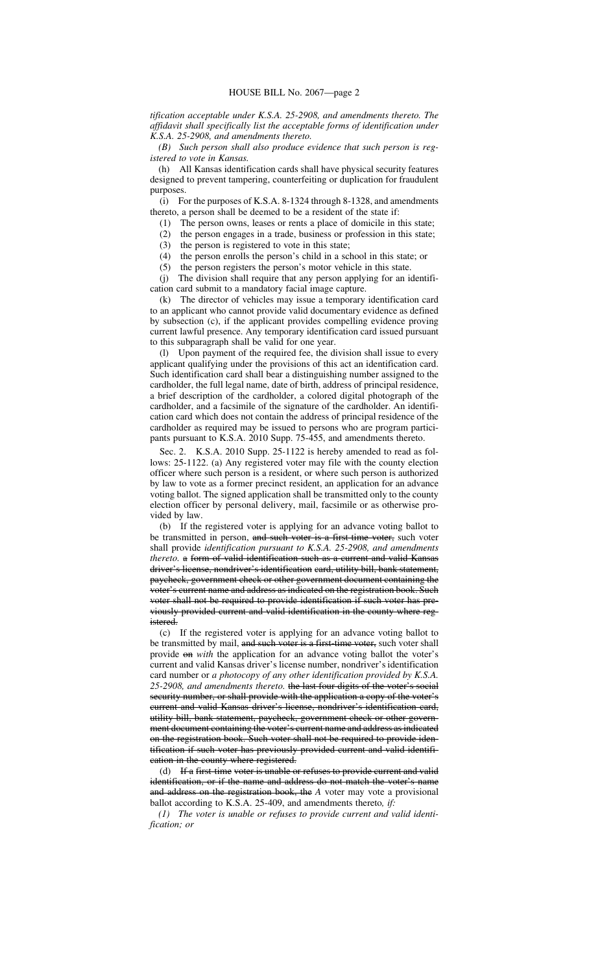*tification acceptable under K.S.A. 25-2908, and amendments thereto. The affidavit shall specifically list the acceptable forms of identification under K.S.A. 25-2908, and amendments thereto.*

*(B) Such person shall also produce evidence that such person is registered to vote in Kansas.*

(h) All Kansas identification cards shall have physical security features designed to prevent tampering, counterfeiting or duplication for fraudulent purposes.

(i) For the purposes of K.S.A. 8-1324 through 8-1328, and amendments thereto, a person shall be deemed to be a resident of the state if:

(1) The person owns, leases or rents a place of domicile in this state;

(2) the person engages in a trade, business or profession in this state;

(3) the person is registered to vote in this state;

(4) the person enrolls the person's child in a school in this state; or

(5) the person registers the person's motor vehicle in this state. (j) The division shall require that any person applying for an identification card submit to a mandatory facial image capture.

(k) The director of vehicles may issue a temporary identification card to an applicant who cannot provide valid documentary evidence as defined by subsection (c), if the applicant provides compelling evidence proving current lawful presence. Any temporary identification card issued pursuant to this subparagraph shall be valid for one year.

(l) Upon payment of the required fee, the division shall issue to every applicant qualifying under the provisions of this act an identification card. Such identification card shall bear a distinguishing number assigned to the cardholder, the full legal name, date of birth, address of principal residence, a brief description of the cardholder, a colored digital photograph of the cardholder, and a facsimile of the signature of the cardholder. An identification card which does not contain the address of principal residence of the cardholder as required may be issued to persons who are program participants pursuant to K.S.A. 2010 Supp. 75-455, and amendments thereto.

Sec. 2. K.S.A. 2010 Supp. 25-1122 is hereby amended to read as follows: 25-1122. (a) Any registered voter may file with the county election officer where such person is a resident, or where such person is authorized by law to vote as a former precinct resident, an application for an advance voting ballot. The signed application shall be transmitted only to the county election officer by personal delivery, mail, facsimile or as otherwise provided by law.

(b) If the registered voter is applying for an advance voting ballot to be transmitted in person, and such voter is a first-time voter, such voter shall provide *identification pursuant to K.S.A. 25-2908, and amendments thereto.* a form of valid identification such as a current and valid Kansas driver's license, nondriver's identification card, utility bill, bank statement, paycheck, government check or other government document containing the voter's current name and address as indicated on the registration book. Such voter shall not be required to provide identification if such voter has previously provided current and valid identification in the county where registered.

(c) If the registered voter is applying for an advance voting ballot to be transmitted by mail, and such voter is a first-time voter, such voter shall provide on *with* the application for an advance voting ballot the voter's current and valid Kansas driver's license number, nondriver's identification card number or *a photocopy of any other identification provided by K.S.A. 25-2908, and amendments thereto.* the last four digits of the voter's social security number, or shall provide with the application a copy of the voter's current and valid Kansas driver's license, nondriver's identification card, utility bill, bank statement, paycheck, government check or other government document containing the voter's current name and address as indicated on the registration book. Such voter shall not be required to provide identification if such voter has previously provided current and valid identification in the county where registered.

(d) If a first-time voter is unable or refuses to provide current and valid identification, or if the name and address do not match the voter's name and address on the registration book, the *A* voter may vote a provisional ballot according to K.S.A. 25-409, and amendments thereto*, if:*

*(1) The voter is unable or refuses to provide current and valid identification; or*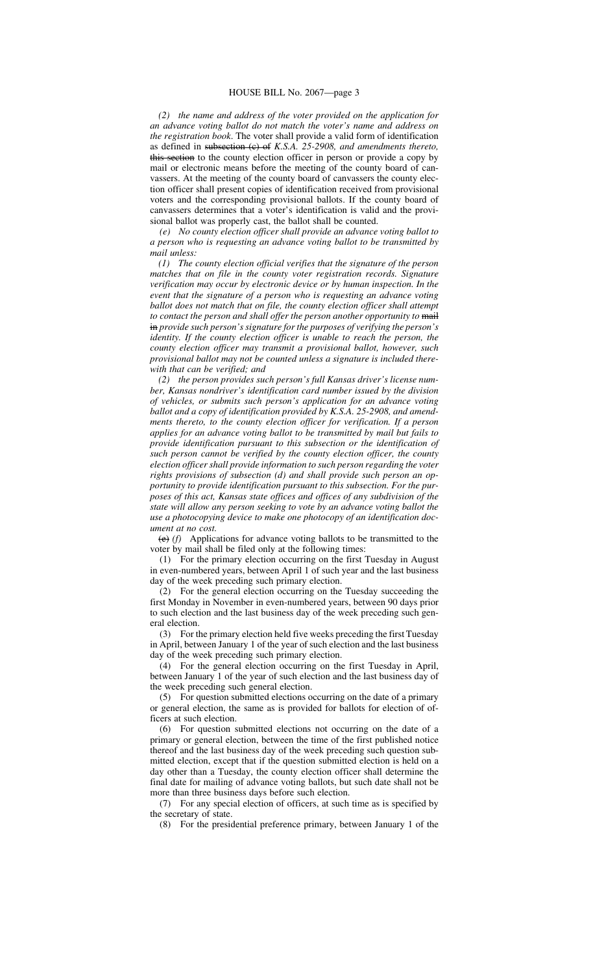*(2) the name and address of the voter provided on the application for an advance voting ballot do not match the voter's name and address on the registration book*. The voter shall provide a valid form of identification as defined in subsection (c) of *K.S.A. 25-2908, and amendments thereto,* this section to the county election officer in person or provide a copy by mail or electronic means before the meeting of the county board of canvassers. At the meeting of the county board of canvassers the county election officer shall present copies of identification received from provisional voters and the corresponding provisional ballots. If the county board of canvassers determines that a voter's identification is valid and the provisional ballot was properly cast, the ballot shall be counted.

*(e) No county election officer shall provide an advance voting ballot to a person who is requesting an advance voting ballot to be transmitted by mail unless:*

*(1) The county election official verifies that the signature of the person matches that on file in the county voter registration records. Signature verification may occur by electronic device or by human inspection. In the event that the signature of a person who is requesting an advance voting ballot does not match that on file, the county election officer shall attempt to contact the person and shall offer the person another opportunity to* mail in *provide such person's signature for the purposes of verifying the person's identity. If the county election officer is unable to reach the person, the county election officer may transmit a provisional ballot, however, such provisional ballot may not be counted unless a signature is included therewith that can be verified; and*

*(2) the person provides such person's full Kansas driver's license number, Kansas nondriver's identification card number issued by the division of vehicles, or submits such person's application for an advance voting ballot and a copy of identification provided by K.S.A. 25-2908, and amendments thereto, to the county election officer for verification. If a person applies for an advance voting ballot to be transmitted by mail but fails to provide identification pursuant to this subsection or the identification of such person cannot be verified by the county election officer, the county election officer shall provide information to such person regarding the voter rights provisions of subsection (d) and shall provide such person an opportunity to provide identification pursuant to this subsection. For the purposes of this act, Kansas state offices and offices of any subdivision of the state will allow any person seeking to vote by an advance voting ballot the use a photocopying device to make one photocopy of an identification document at no cost.*

(e) *(f)* Applications for advance voting ballots to be transmitted to the voter by mail shall be filed only at the following times:

(1) For the primary election occurring on the first Tuesday in August in even-numbered years, between April 1 of such year and the last business day of the week preceding such primary election.

(2) For the general election occurring on the Tuesday succeeding the first Monday in November in even-numbered years, between 90 days prior to such election and the last business day of the week preceding such general election.

(3) For the primary election held five weeks preceding the first Tuesday in April, between January 1 of the year of such election and the last business day of the week preceding such primary election.

(4) For the general election occurring on the first Tuesday in April, between January 1 of the year of such election and the last business day of the week preceding such general election.

(5) For question submitted elections occurring on the date of a primary or general election, the same as is provided for ballots for election of officers at such election.

(6) For question submitted elections not occurring on the date of a primary or general election, between the time of the first published notice thereof and the last business day of the week preceding such question submitted election, except that if the question submitted election is held on a day other than a Tuesday, the county election officer shall determine the final date for mailing of advance voting ballots, but such date shall not be more than three business days before such election.

(7) For any special election of officers, at such time as is specified by the secretary of state.

(8) For the presidential preference primary, between January 1 of the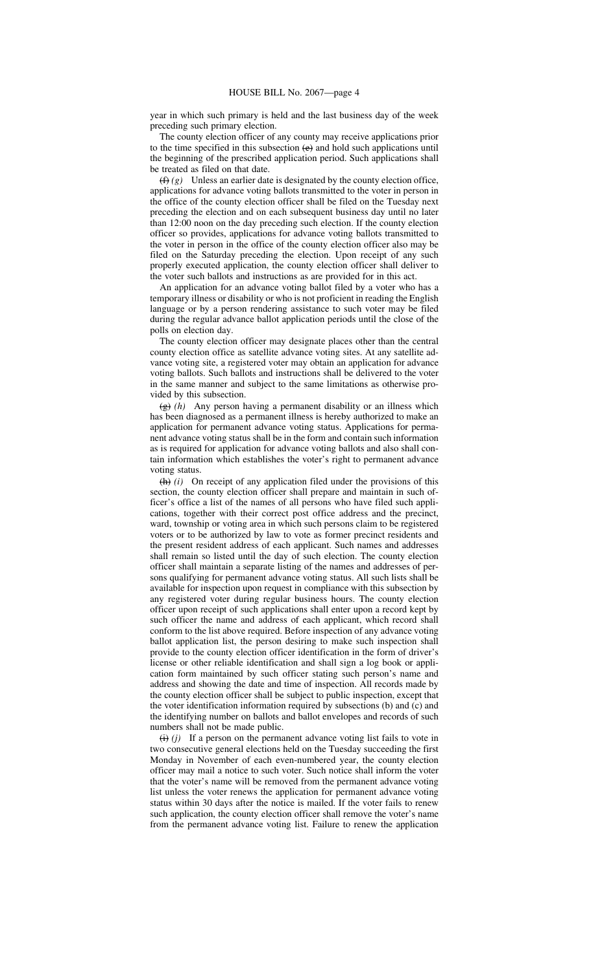year in which such primary is held and the last business day of the week preceding such primary election.

The county election officer of any county may receive applications prior to the time specified in this subsection  $(e)$  and hold such applications until the beginning of the prescribed application period. Such applications shall be treated as filed on that date.

 $(f)$  *(g)* Unless an earlier date is designated by the county election office, applications for advance voting ballots transmitted to the voter in person in the office of the county election officer shall be filed on the Tuesday next preceding the election and on each subsequent business day until no later than 12:00 noon on the day preceding such election. If the county election officer so provides, applications for advance voting ballots transmitted to the voter in person in the office of the county election officer also may be filed on the Saturday preceding the election. Upon receipt of any such properly executed application, the county election officer shall deliver to the voter such ballots and instructions as are provided for in this act.

An application for an advance voting ballot filed by a voter who has a temporary illness or disability or who is not proficient in reading the English language or by a person rendering assistance to such voter may be filed during the regular advance ballot application periods until the close of the polls on election day.

The county election officer may designate places other than the central county election office as satellite advance voting sites. At any satellite advance voting site, a registered voter may obtain an application for advance voting ballots. Such ballots and instructions shall be delivered to the voter in the same manner and subject to the same limitations as otherwise provided by this subsection.

(g) *(h)* Any person having a permanent disability or an illness which has been diagnosed as a permanent illness is hereby authorized to make an application for permanent advance voting status. Applications for permanent advance voting status shall be in the form and contain such information as is required for application for advance voting ballots and also shall contain information which establishes the voter's right to permanent advance voting status.

(h) *(i)* On receipt of any application filed under the provisions of this section, the county election officer shall prepare and maintain in such officer's office a list of the names of all persons who have filed such applications, together with their correct post office address and the precinct, ward, township or voting area in which such persons claim to be registered voters or to be authorized by law to vote as former precinct residents and the present resident address of each applicant. Such names and addresses shall remain so listed until the day of such election. The county election officer shall maintain a separate listing of the names and addresses of persons qualifying for permanent advance voting status. All such lists shall be available for inspection upon request in compliance with this subsection by any registered voter during regular business hours. The county election officer upon receipt of such applications shall enter upon a record kept by such officer the name and address of each applicant, which record shall conform to the list above required. Before inspection of any advance voting ballot application list, the person desiring to make such inspection shall provide to the county election officer identification in the form of driver's license or other reliable identification and shall sign a log book or application form maintained by such officer stating such person's name and address and showing the date and time of inspection. All records made by the county election officer shall be subject to public inspection, except that the voter identification information required by subsections (b) and (c) and the identifying number on ballots and ballot envelopes and records of such numbers shall not be made public.

 $(i)$  *(i)* If a person on the permanent advance voting list fails to vote in two consecutive general elections held on the Tuesday succeeding the first Monday in November of each even-numbered year, the county election officer may mail a notice to such voter. Such notice shall inform the voter that the voter's name will be removed from the permanent advance voting list unless the voter renews the application for permanent advance voting status within 30 days after the notice is mailed. If the voter fails to renew such application, the county election officer shall remove the voter's name from the permanent advance voting list. Failure to renew the application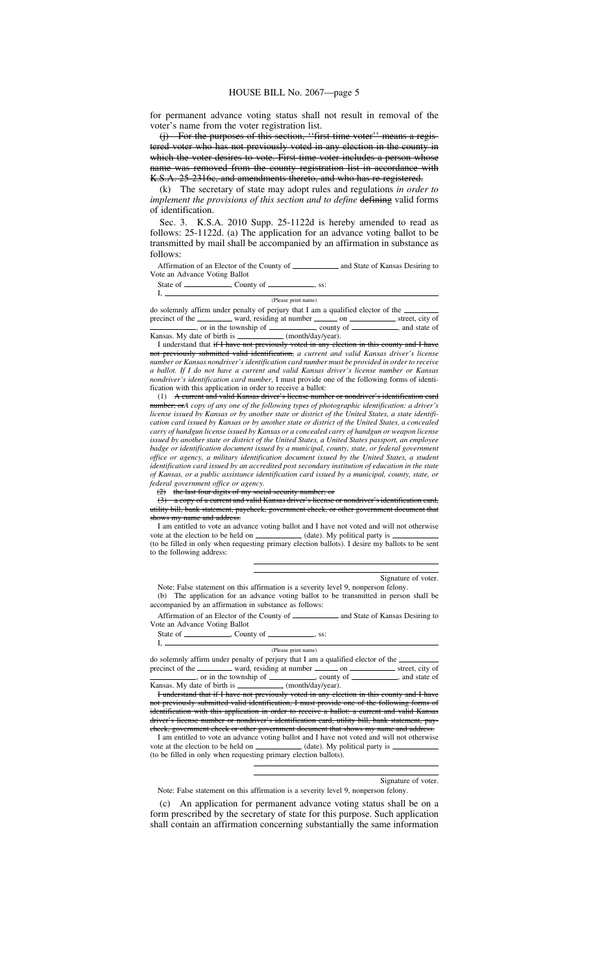for permanent advance voting status shall not result in removal of the voter's name from the voter registration list.<br>(i) For the purposes of this section. "first

For the purposes of this section, "first-time voter" means a registered voter who has not previously voted in any election in the county in which the voter desires to vote. First-time voter includes a person whose name was removed from the county registration list in accordance with K.S.A. 25-2316c, and amendments thereto, and who has re-registered.

(k) The secretary of state may adopt rules and regulations *in order to implement the provisions of this section and to define* defining valid forms of identification.

Sec. 3. K.S.A. 2010 Supp. 25-1122d is hereby amended to read as follows: 25-1122d. (a) The application for an advance voting ballot to be transmitted by mail shall be accompanied by an affirmation in substance as follows:

Affirmation of an Elector of the County of **Allen County of Allen County of Allen County of Allen County of Allen County of Allen County of Allen County of Allen County of Allen County of Allen County of Allen County of Al** Vote an Advance Voting Ballot

State of  $\frac{\ }{\ }$ , County of  $\frac{\ }{\ }$ , ss:

I,

I,

## (Please print name)

do solemnly affirm under penalty of perjury that I am a qualified elector of the precinct of the ward, residing at number on street, city of street, city of street, city of street, city of street, city of street, city of street, city of street, city of street, city of street, city of street, city of st

, or in the township of \_\_\_\_\_\_\_\_\_, county of \_\_\_\_\_\_\_, and state of Kansas. My date of birth is \_\_\_\_\_\_\_\_\_\_\_\_ (month/day/year). I understand that if I have not previously voted in any election in this county and I have

not previously submitted valid identification, *a current and valid Kansas driver's license number or Kansas nondriver's identification card number must be provided in order to receive a ballot. If I do not have a current and valid Kansas driver's license number or Kansas nondriver's identification card number,* I must provide one of the following forms of identification with this application in order to receive a ballot:

(1) A current and valid Kansas driver's license number or nondriver's identification card number; or*A copy of any one of the following types of photographic identification: a driver's license issued by Kansas or by another state or district of the United States, a state identification card issued by Kansas or by another state or district of the United States, a concealed carry of handgun license issued by Kansas or a concealed carry of handgun or weapon license issued by another state or district of the United States, a United States passport, an employee badge or identification document issued by a municipal, county, state, or federal government office or agency, a military identification document issued by the United States, a student identification card issued by an accredited post secondary institution of education in the state of Kansas, or a public assistance identification card issued by a municipal, county, state, or federal government office or agency.*

(2) the last four digits of my social security number; or

(3) a copy of a current and valid Kansas driver's license or nondriver's identification card, utility bill, bank statement, paycheck, government check, or other government that that shows my name and address.

I am entitled to vote an advance voting ballot and I have not voted and will not otherwise vote at the election to be held on  $\overline{\hspace{1cm}}$  (date). My political party is (to be filled in only when requesting primary election ballots). I desire my ballots to be sent to the following address:

Signature of voter.

Note: False statement on this affirmation is a severity level 9, nonperson felony. (b) The application for an advance voting ballot to be transmitted in person shall be accompanied by an affirmation in substance as follows:

Affirmation of an Elector of the County of **Allen County of Allen County of Allen County of Allen County of Allen County of Allen County of Allen County of Allen County of Allen County of Allen County of Allen County of Al** Vote an Advance Voting Ballot

State of  $\frac{1}{\sqrt{2}}$ , County of  $\frac{1}{\sqrt{2}}$ , ss:

#### (Please print name)

do solemnly affirm under penalty of perjury that I am a qualified elector of the precinct of the ward, residing at number on street, city of , or in the township of \_\_\_\_\_\_\_\_\_, county of \_\_\_\_\_\_\_\_, and state of

Kansas. My date of birth is \_\_\_\_\_\_\_\_\_\_\_\_ (month/day/year). I understand that if I have not previously voted in any election in this county and I have not previously submitted valid identification, I must provide one of the following forms of identification with this application in order to receive a ballot: a current and valid Kansas<br>driver's license number or nondriver's identification card, utility bill, bank statement, pay-

or nondriver's identification card, utility bill, bank statement, paycheck, government check or other government document that shows my name I am entitled to vote an advance voting ballot and I have not voted and will not otherwise vote at the election to be held on  $\qquad$  (date). My political party is

(to be filled in only when requesting primary election ballots).

### Signature of voter.

Note: False statement on this affirmation is a severity level 9, nonperson felony.

(c) An application for permanent advance voting status shall be on a form prescribed by the secretary of state for this purpose. Such application shall contain an affirmation concerning substantially the same information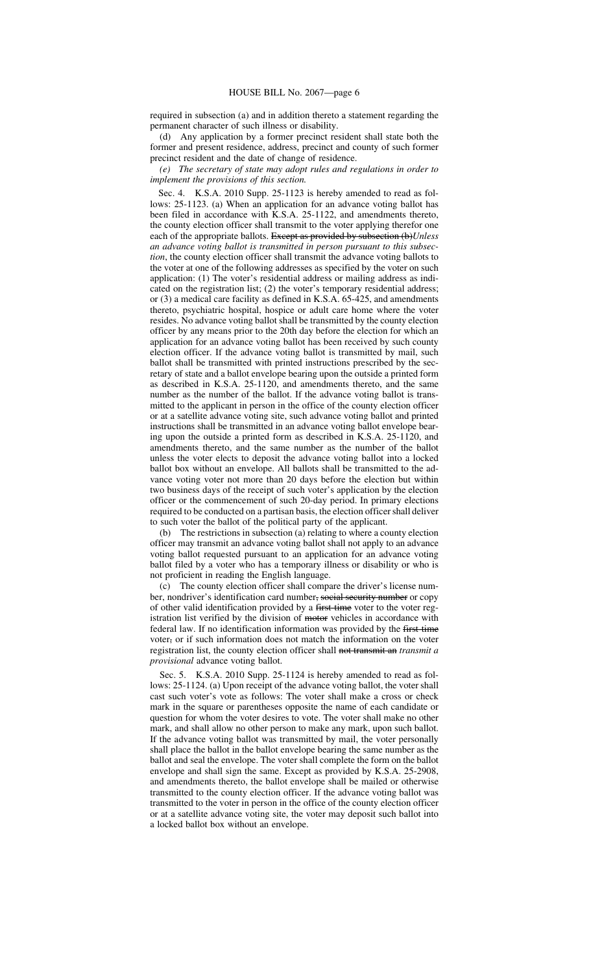required in subsection (a) and in addition thereto a statement regarding the permanent character of such illness or disability.

(d) Any application by a former precinct resident shall state both the former and present residence, address, precinct and county of such former precinct resident and the date of change of residence.

*(e) The secretary of state may adopt rules and regulations in order to implement the provisions of this section.*

Sec. 4. K.S.A. 2010 Supp. 25-1123 is hereby amended to read as follows: 25-1123. (a) When an application for an advance voting ballot has been filed in accordance with K.S.A. 25-1122, and amendments thereto, the county election officer shall transmit to the voter applying therefor one each of the appropriate ballots. Except as provided by subsection (b)Unless *an advance voting ballot is transmitted in person pursuant to this subsection*, the county election officer shall transmit the advance voting ballots to the voter at one of the following addresses as specified by the voter on such application: (1) The voter's residential address or mailing address as indicated on the registration list; (2) the voter's temporary residential address; or (3) a medical care facility as defined in K.S.A. 65-425, and amendments thereto, psychiatric hospital, hospice or adult care home where the voter resides. No advance voting ballot shall be transmitted by the county election officer by any means prior to the 20th day before the election for which an application for an advance voting ballot has been received by such county election officer. If the advance voting ballot is transmitted by mail, such ballot shall be transmitted with printed instructions prescribed by the secretary of state and a ballot envelope bearing upon the outside a printed form as described in K.S.A. 25-1120, and amendments thereto, and the same number as the number of the ballot. If the advance voting ballot is transmitted to the applicant in person in the office of the county election officer or at a satellite advance voting site, such advance voting ballot and printed instructions shall be transmitted in an advance voting ballot envelope bearing upon the outside a printed form as described in K.S.A. 25-1120, and amendments thereto, and the same number as the number of the ballot unless the voter elects to deposit the advance voting ballot into a locked ballot box without an envelope. All ballots shall be transmitted to the advance voting voter not more than 20 days before the election but within two business days of the receipt of such voter's application by the election officer or the commencement of such 20-day period. In primary elections required to be conducted on a partisan basis, the election officer shall deliver to such voter the ballot of the political party of the applicant.

(b) The restrictions in subsection (a) relating to where a county election officer may transmit an advance voting ballot shall not apply to an advance voting ballot requested pursuant to an application for an advance voting ballot filed by a voter who has a temporary illness or disability or who is not proficient in reading the English language.

(c) The county election officer shall compare the driver's license number, nondriver's identification card number, social security number or copy of other valid identification provided by a first-time voter to the voter registration list verified by the division of motor vehicles in accordance with federal law. If no identification information was provided by the first-time voter, or if such information does not match the information on the voter registration list, the county election officer shall not transmit an *transmit a provisional* advance voting ballot.

Sec. 5. K.S.A. 2010 Supp. 25-1124 is hereby amended to read as follows: 25-1124. (a) Upon receipt of the advance voting ballot, the voter shall cast such voter's vote as follows: The voter shall make a cross or check mark in the square or parentheses opposite the name of each candidate or question for whom the voter desires to vote. The voter shall make no other mark, and shall allow no other person to make any mark, upon such ballot. If the advance voting ballot was transmitted by mail, the voter personally shall place the ballot in the ballot envelope bearing the same number as the ballot and seal the envelope. The voter shall complete the form on the ballot envelope and shall sign the same. Except as provided by K.S.A. 25-2908, and amendments thereto, the ballot envelope shall be mailed or otherwise transmitted to the county election officer. If the advance voting ballot was transmitted to the voter in person in the office of the county election officer or at a satellite advance voting site, the voter may deposit such ballot into a locked ballot box without an envelope.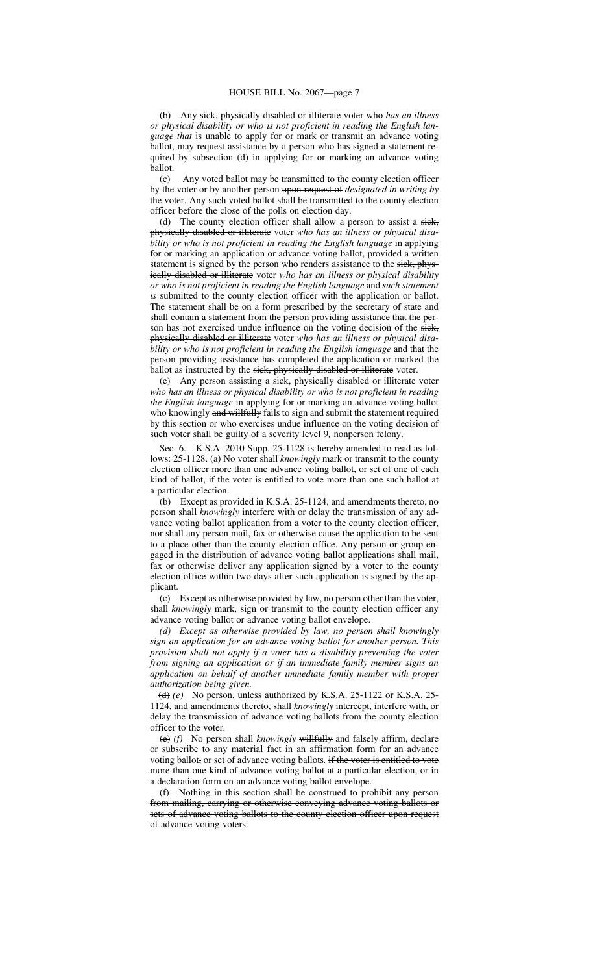(b) Any sick, physically disabled or illiterate voter who *has an illness or physical disability or who is not proficient in reading the English language that* is unable to apply for or mark or transmit an advance voting ballot, may request assistance by a person who has signed a statement required by subsection (d) in applying for or marking an advance voting ballot.

(c) Any voted ballot may be transmitted to the county election officer by the voter or by another person upon request of *designated in writing by* the voter. Any such voted ballot shall be transmitted to the county election officer before the close of the polls on election day.

(d) The county election officer shall allow a person to assist a siek, physically disabled or illiterate voter *who has an illness or physical disability or who is not proficient in reading the English language* in applying for or marking an application or advance voting ballot, provided a written statement is signed by the person who renders assistance to the sick, physically disabled or illiterate voter *who has an illness or physical disability or who is not proficient in reading the English language* and *such statement is* submitted to the county election officer with the application or ballot. The statement shall be on a form prescribed by the secretary of state and shall contain a statement from the person providing assistance that the person has not exercised undue influence on the voting decision of the siek, physically disabled or illiterate voter *who has an illness or physical disability or who is not proficient in reading the English language* and that the person providing assistance has completed the application or marked the ballot as instructed by the sick, physically disabled or illiterate voter.

(e) Any person assisting a sick, physically disabled or illiterate voter *who has an illness or physical disability or who is not proficient in reading the English language* in applying for or marking an advance voting ballot who knowingly and willfully fails to sign and submit the statement required by this section or who exercises undue influence on the voting decision of such voter shall be guilty of a severity level 9*,* nonperson felony.

Sec. 6. K.S.A. 2010 Supp. 25-1128 is hereby amended to read as follows: 25-1128. (a) No voter shall *knowingly* mark or transmit to the county election officer more than one advance voting ballot, or set of one of each kind of ballot, if the voter is entitled to vote more than one such ballot at a particular election.

(b) Except as provided in K.S.A. 25-1124, and amendments thereto, no person shall *knowingly* interfere with or delay the transmission of any advance voting ballot application from a voter to the county election officer, nor shall any person mail, fax or otherwise cause the application to be sent to a place other than the county election office. Any person or group engaged in the distribution of advance voting ballot applications shall mail, fax or otherwise deliver any application signed by a voter to the county election office within two days after such application is signed by the applicant.

(c) Except as otherwise provided by law, no person other than the voter, shall *knowingly* mark, sign or transmit to the county election officer any advance voting ballot or advance voting ballot envelope.

*(d) Except as otherwise provided by law, no person shall knowingly sign an application for an advance voting ballot for another person. This provision shall not apply if a voter has a disability preventing the voter from signing an application or if an immediate family member signs an application on behalf of another immediate family member with proper authorization being given.*

 $\left(\frac{d}{d}\right)(e)$  No person, unless authorized by K.S.A. 25-1122 or K.S.A. 25-1124, and amendments thereto, shall *knowingly* intercept, interfere with, or delay the transmission of advance voting ballots from the county election officer to the voter.

(e) *(f)* No person shall *knowingly* willfully and falsely affirm, declare or subscribe to any material fact in an affirmation form for an advance voting ballot, or set of advance voting ballots*.* if the voter is entitled to vote more than one kind of advance voting ballot at a particular election, or in a declaration form on an advance voting ballot envelope.

(f) Nothing in this section shall be construed to prohibit any person from mailing, carrying or otherwise conveying advance voting ballots or sets of advance voting ballots to the county election officer upon request of advance voting voters.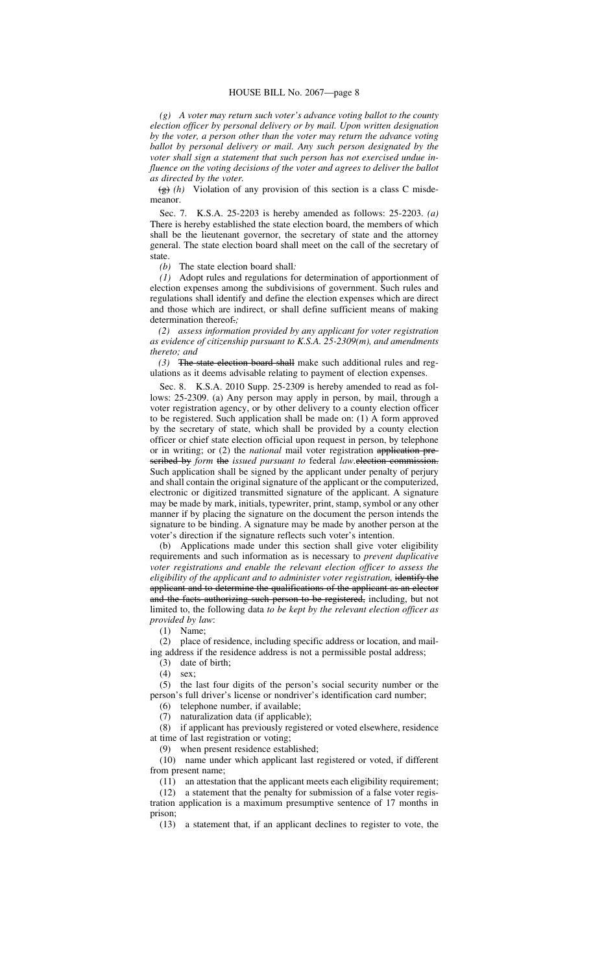*(g) A voter may return such voter's advance voting ballot to the county election officer by personal delivery or by mail. Upon written designation by the voter, a person other than the voter may return the advance voting ballot by personal delivery or mail. Any such person designated by the voter shall sign a statement that such person has not exercised undue influence on the voting decisions of the voter and agrees to deliver the ballot as directed by the voter.*

(g) *(h)* Violation of any provision of this section is a class C misdemeanor.

Sec. 7. K.S.A. 25-2203 is hereby amended as follows: 25-2203. *(a)* There is hereby established the state election board, the members of which shall be the lieutenant governor, the secretary of state and the attorney general. The state election board shall meet on the call of the secretary of state.

*(b)* The state election board shall*:*

*(1)* Adopt rules and regulations for determination of apportionment of election expenses among the subdivisions of government. Such rules and regulations shall identify and define the election expenses which are direct and those which are indirect, or shall define sufficient means of making determination thereof.*;*

*(2) assess information provided by any applicant for voter registration as evidence of citizenship pursuant to K.S.A. 25-2309(m), and amendments thereto; and*

*(3)* The state election board shall make such additional rules and regulations as it deems advisable relating to payment of election expenses.

Sec. 8. K.S.A. 2010 Supp. 25-2309 is hereby amended to read as follows: 25-2309. (a) Any person may apply in person, by mail, through a voter registration agency, or by other delivery to a county election officer to be registered. Such application shall be made on: (1) A form approved by the secretary of state, which shall be provided by a county election officer or chief state election official upon request in person, by telephone or in writing; or (2) the *national* mail voter registration application prescribed by *form* the *issued pursuant to* federal *law.*election commission. Such application shall be signed by the applicant under penalty of perjury and shall contain the original signature of the applicant or the computerized, electronic or digitized transmitted signature of the applicant. A signature may be made by mark, initials, typewriter, print, stamp, symbol or any other manner if by placing the signature on the document the person intends the signature to be binding. A signature may be made by another person at the voter's direction if the signature reflects such voter's intention.

(b) Applications made under this section shall give voter eligibility requirements and such information as is necessary to *prevent duplicative voter registrations and enable the relevant election officer to assess the eligibility of the applicant and to administer voter registration,* identify the applicant and to determine the qualifications of the applicant as an elector and the facts authorizing such person to be registered, including, but not limited to, the following data *to be kept by the relevant election officer as provided by law*:

(1) Name;

(2) place of residence, including specific address or location, and mailing address if the residence address is not a permissible postal address;

(3) date of birth;

(4) sex;

(5) the last four digits of the person's social security number or the person's full driver's license or nondriver's identification card number;

(6) telephone number, if available;

(7) naturalization data (if applicable);

(8) if applicant has previously registered or voted elsewhere, residence at time of last registration or voting;

(9) when present residence established;

(10) name under which applicant last registered or voted, if different from present name;

(11) an attestation that the applicant meets each eligibility requirement; (12) a statement that the penalty for submission of a false voter regis-

tration application is a maximum presumptive sentence of 17 months in prison;

(13) a statement that, if an applicant declines to register to vote, the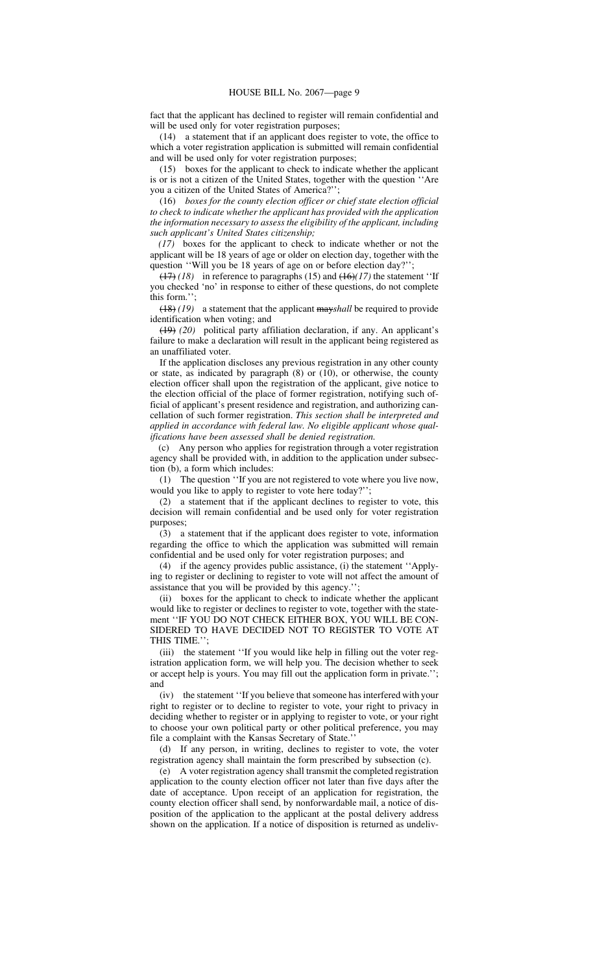fact that the applicant has declined to register will remain confidential and will be used only for voter registration purposes;

(14) a statement that if an applicant does register to vote, the office to which a voter registration application is submitted will remain confidential and will be used only for voter registration purposes;

(15) boxes for the applicant to check to indicate whether the applicant is or is not a citizen of the United States, together with the question ''Are you a citizen of the United States of America?'';

(16) *boxes for the county election officer or chief state election official to check to indicate whether the applicant has provided with the application the information necessary to assess the eligibility of the applicant, including such applicant's United States citizenship;*

*(17)* boxes for the applicant to check to indicate whether or not the applicant will be 18 years of age or older on election day, together with the question ''Will you be 18 years of age on or before election day?'';

(17) *(18)* in reference to paragraphs (15) and (16)*(17)* the statement ''If you checked 'no' in response to either of these questions, do not complete this form.'';

(18) *(19)* a statement that the applicant may*shall* be required to provide identification when voting; and

(19) *(20)* political party affiliation declaration, if any. An applicant's failure to make a declaration will result in the applicant being registered as an unaffiliated voter.

If the application discloses any previous registration in any other county or state, as indicated by paragraph  $(8)$  or  $(10)$ , or otherwise, the county election officer shall upon the registration of the applicant, give notice to the election official of the place of former registration, notifying such official of applicant's present residence and registration, and authorizing cancellation of such former registration. *This section shall be interpreted and applied in accordance with federal law. No eligible applicant whose qualifications have been assessed shall be denied registration.*

Any person who applies for registration through a voter registration agency shall be provided with, in addition to the application under subsection (b), a form which includes:

(1) The question ''If you are not registered to vote where you live now, would you like to apply to register to vote here today?'';

(2) a statement that if the applicant declines to register to vote, this decision will remain confidential and be used only for voter registration purposes;

(3) a statement that if the applicant does register to vote, information regarding the office to which the application was submitted will remain confidential and be used only for voter registration purposes; and

(4) if the agency provides public assistance, (i) the statement ''Applying to register or declining to register to vote will not affect the amount of assistance that you will be provided by this agency.'';

(ii) boxes for the applicant to check to indicate whether the applicant would like to register or declines to register to vote, together with the statement ''IF YOU DO NOT CHECK EITHER BOX, YOU WILL BE CON-SIDERED TO HAVE DECIDED NOT TO REGISTER TO VOTE AT THIS TIME.'';

(iii) the statement ''If you would like help in filling out the voter registration application form, we will help you. The decision whether to seek or accept help is yours. You may fill out the application form in private.''; and

(iv) the statement ''If you believe that someone has interfered with your right to register or to decline to register to vote, your right to privacy in deciding whether to register or in applying to register to vote, or your right to choose your own political party or other political preference, you may file a complaint with the Kansas Secretary of State.''

(d) If any person, in writing, declines to register to vote, the voter registration agency shall maintain the form prescribed by subsection (c).

(e) A voter registration agency shall transmit the completed registration application to the county election officer not later than five days after the date of acceptance. Upon receipt of an application for registration, the county election officer shall send, by nonforwardable mail, a notice of disposition of the application to the applicant at the postal delivery address shown on the application. If a notice of disposition is returned as undeliv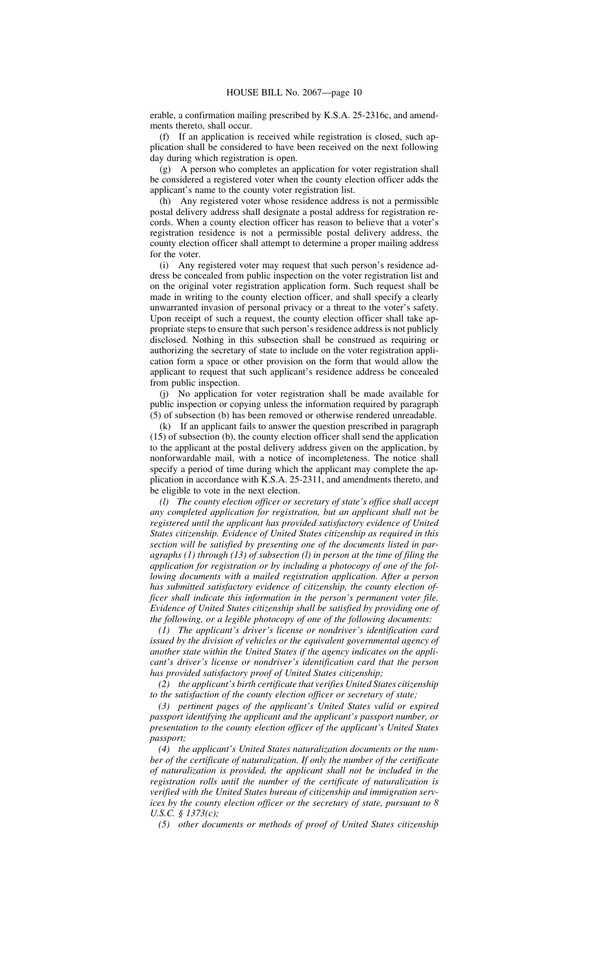erable, a confirmation mailing prescribed by K.S.A. 25-2316c, and amendments thereto, shall occur.

(f) If an application is received while registration is closed, such application shall be considered to have been received on the next following day during which registration is open.

(g) A person who completes an application for voter registration shall be considered a registered voter when the county election officer adds the applicant's name to the county voter registration list.

(h) Any registered voter whose residence address is not a permissible postal delivery address shall designate a postal address for registration records. When a county election officer has reason to believe that a voter's registration residence is not a permissible postal delivery address, the county election officer shall attempt to determine a proper mailing address for the voter.

(i) Any registered voter may request that such person's residence address be concealed from public inspection on the voter registration list and on the original voter registration application form. Such request shall be made in writing to the county election officer, and shall specify a clearly unwarranted invasion of personal privacy or a threat to the voter's safety. Upon receipt of such a request, the county election officer shall take appropriate steps to ensure that such person's residence address is not publicly disclosed. Nothing in this subsection shall be construed as requiring or authorizing the secretary of state to include on the voter registration application form a space or other provision on the form that would allow the applicant to request that such applicant's residence address be concealed from public inspection.

(j) No application for voter registration shall be made available for public inspection or copying unless the information required by paragraph (5) of subsection (b) has been removed or otherwise rendered unreadable.

(k) If an applicant fails to answer the question prescribed in paragraph (15) of subsection (b), the county election officer shall send the application to the applicant at the postal delivery address given on the application, by nonforwardable mail, with a notice of incompleteness. The notice shall specify a period of time during which the applicant may complete the application in accordance with K.S.A. 25-2311, and amendments thereto, and be eligible to vote in the next election.

*(l) The county election officer or secretary of state's office shall accept any completed application for registration, but an applicant shall not be registered until the applicant has provided satisfactory evidence of United States citizenship. Evidence of United States citizenship as required in this section will be satisfied by presenting one of the documents listed in paragraphs (1) through (13) of subsection (l) in person at the time of filing the application for registration or by including a photocopy of one of the following documents with a mailed registration application. After a person has submitted satisfactory evidence of citizenship, the county election officer shall indicate this information in the person's permanent voter file. Evidence of United States citizenship shall be satisfied by providing one of the following, or a legible photocopy of one of the following documents:*

*(1) The applicant's driver's license or nondriver's identification card issued by the division of vehicles or the equivalent governmental agency of another state within the United States if the agency indicates on the applicant's driver's license or nondriver's identification card that the person has provided satisfactory proof of United States citizenship;*

*(2) the applicant's birth certificate that verifies United States citizenship to the satisfaction of the county election officer or secretary of state;*

*(3) pertinent pages of the applicant's United States valid or expired passport identifying the applicant and the applicant's passport number, or presentation to the county election officer of the applicant's United States passport;*

*(4) the applicant's United States naturalization documents or the number of the certificate of naturalization. If only the number of the certificate of naturalization is provided, the applicant shall not be included in the registration rolls until the number of the certificate of naturalization is verified with the United States bureau of citizenship and immigration services by the county election officer or the secretary of state, pursuant to 8 U.S.C. § 1373(c);*

*(5) other documents or methods of proof of United States citizenship*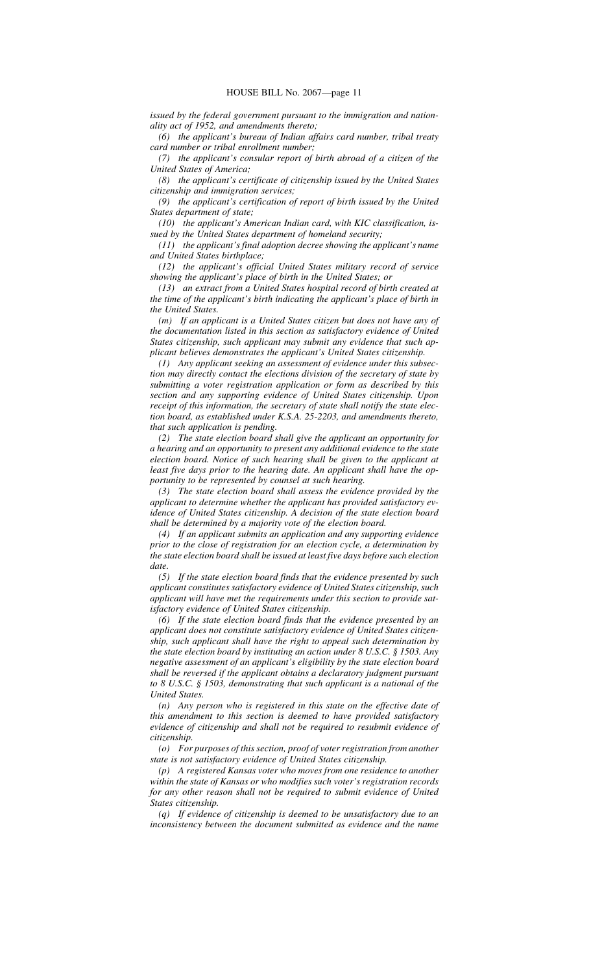*issued by the federal government pursuant to the immigration and nationality act of 1952, and amendments thereto;*

*(6) the applicant's bureau of Indian affairs card number, tribal treaty card number or tribal enrollment number;*

*(7) the applicant's consular report of birth abroad of a citizen of the United States of America;*

*(8) the applicant's certificate of citizenship issued by the United States citizenship and immigration services;*

*(9) the applicant's certification of report of birth issued by the United States department of state;*

*(10) the applicant's American Indian card, with KIC classification, issued by the United States department of homeland security;*

*(11) the applicant's final adoption decree showing the applicant's name and United States birthplace;*

*(12) the applicant's official United States military record of service showing the applicant's place of birth in the United States; or*

*(13) an extract from a United States hospital record of birth created at the time of the applicant's birth indicating the applicant's place of birth in the United States.*

*(m) If an applicant is a United States citizen but does not have any of the documentation listed in this section as satisfactory evidence of United States citizenship, such applicant may submit any evidence that such applicant believes demonstrates the applicant's United States citizenship.*

*(1) Any applicant seeking an assessment of evidence under this subsection may directly contact the elections division of the secretary of state by submitting a voter registration application or form as described by this section and any supporting evidence of United States citizenship. Upon receipt of this information, the secretary of state shall notify the state election board, as established under K.S.A. 25-2203, and amendments thereto, that such application is pending.*

*(2) The state election board shall give the applicant an opportunity for a hearing and an opportunity to present any additional evidence to the state election board. Notice of such hearing shall be given to the applicant at least five days prior to the hearing date. An applicant shall have the opportunity to be represented by counsel at such hearing.*

*(3) The state election board shall assess the evidence provided by the applicant to determine whether the applicant has provided satisfactory evidence of United States citizenship. A decision of the state election board shall be determined by a majority vote of the election board.*

*(4) If an applicant submits an application and any supporting evidence prior to the close of registration for an election cycle, a determination by the state election board shall be issued at least five days before such election date.*

*(5) If the state election board finds that the evidence presented by such applicant constitutes satisfactory evidence of United States citizenship, such applicant will have met the requirements under this section to provide satisfactory evidence of United States citizenship.*

*(6) If the state election board finds that the evidence presented by an applicant does not constitute satisfactory evidence of United States citizenship, such applicant shall have the right to appeal such determination by the state election board by instituting an action under 8 U.S.C. § 1503. Any negative assessment of an applicant's eligibility by the state election board shall be reversed if the applicant obtains a declaratory judgment pursuant to 8 U.S.C. § 1503, demonstrating that such applicant is a national of the United States.*

*(n) Any person who is registered in this state on the effective date of this amendment to this section is deemed to have provided satisfactory evidence of citizenship and shall not be required to resubmit evidence of citizenship.*

*(o) For purposes of this section, proof of voter registration from another state is not satisfactory evidence of United States citizenship.*

*(p) A registered Kansas voter who moves from one residence to another within the state of Kansas or who modifies such voter's registration records for any other reason shall not be required to submit evidence of United States citizenship.*

*(q) If evidence of citizenship is deemed to be unsatisfactory due to an inconsistency between the document submitted as evidence and the name*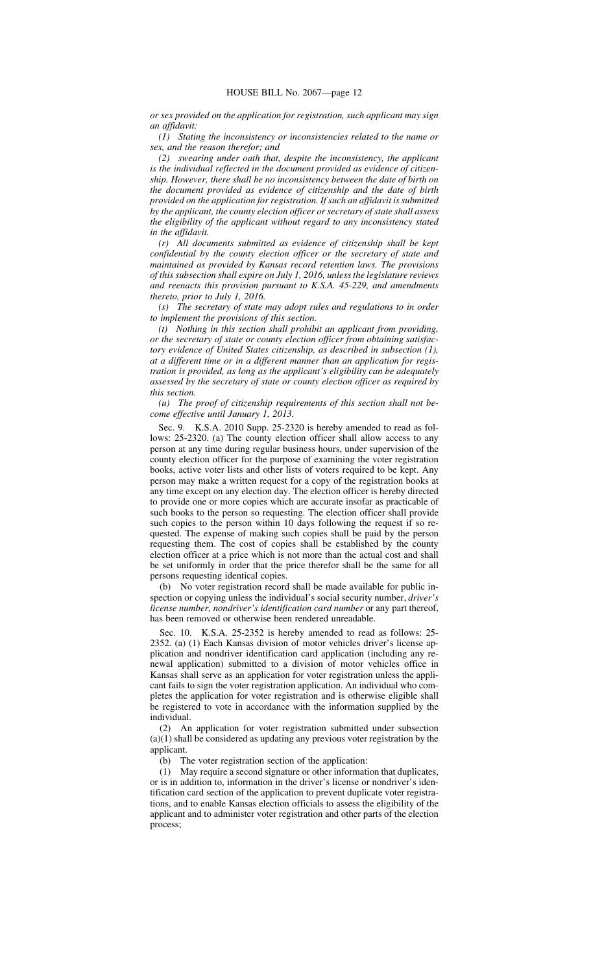*or sex provided on the application for registration, such applicant may sign an affidavit:*

*(1) Stating the inconsistency or inconsistencies related to the name or sex, and the reason therefor; and*

*(2) swearing under oath that, despite the inconsistency, the applicant is the individual reflected in the document provided as evidence of citizenship. However, there shall be no inconsistency between the date of birth on the document provided as evidence of citizenship and the date of birth provided on the application for registration. If such an affidavit is submitted by the applicant, the county election officer or secretary of state shall assess the eligibility of the applicant without regard to any inconsistency stated in the affidavit.*

*(r) All documents submitted as evidence of citizenship shall be kept confidential by the county election officer or the secretary of state and maintained as provided by Kansas record retention laws. The provisions of this subsection shall expire on July 1, 2016, unless the legislature reviews and reenacts this provision pursuant to K.S.A. 45-229, and amendments thereto, prior to July 1, 2016.*

*(s) The secretary of state may adopt rules and regulations to in order to implement the provisions of this section.*

*(t) Nothing in this section shall prohibit an applicant from providing, or the secretary of state or county election officer from obtaining satisfactory evidence of United States citizenship, as described in subsection (1), at a different time or in a different manner than an application for registration is provided, as long as the applicant's eligibility can be adequately assessed by the secretary of state or county election officer as required by this section.*

*(u) The proof of citizenship requirements of this section shall not become effective until January 1, 2013.*

Sec. 9. K.S.A. 2010 Supp. 25-2320 is hereby amended to read as follows: 25-2320. (a) The county election officer shall allow access to any person at any time during regular business hours, under supervision of the county election officer for the purpose of examining the voter registration books, active voter lists and other lists of voters required to be kept. Any person may make a written request for a copy of the registration books at any time except on any election day. The election officer is hereby directed to provide one or more copies which are accurate insofar as practicable of such books to the person so requesting. The election officer shall provide such copies to the person within 10 days following the request if so requested. The expense of making such copies shall be paid by the person requesting them. The cost of copies shall be established by the county election officer at a price which is not more than the actual cost and shall be set uniformly in order that the price therefor shall be the same for all persons requesting identical copies.

(b) No voter registration record shall be made available for public inspection or copying unless the individual's social security number, *driver's license number, nondriver's identification card number* or any part thereof, has been removed or otherwise been rendered unreadable.

Sec. 10. K.S.A. 25-2352 is hereby amended to read as follows: 25- 2352. (a) (1) Each Kansas division of motor vehicles driver's license application and nondriver identification card application (including any renewal application) submitted to a division of motor vehicles office in Kansas shall serve as an application for voter registration unless the applicant fails to sign the voter registration application. An individual who completes the application for voter registration and is otherwise eligible shall be registered to vote in accordance with the information supplied by the individual.

(2) An application for voter registration submitted under subsection (a)(1) shall be considered as updating any previous voter registration by the applicant.

(b) The voter registration section of the application:

(1) May require a second signature or other information that duplicates, or is in addition to, information in the driver's license or nondriver's identification card section of the application to prevent duplicate voter registrations, and to enable Kansas election officials to assess the eligibility of the applicant and to administer voter registration and other parts of the election process;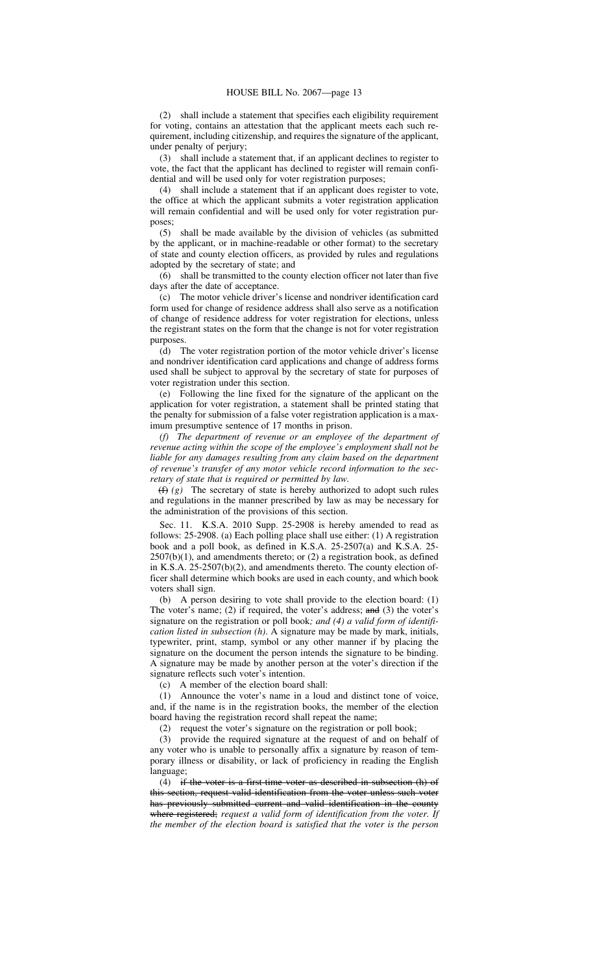(2) shall include a statement that specifies each eligibility requirement for voting, contains an attestation that the applicant meets each such requirement, including citizenship, and requires the signature of the applicant, under penalty of perjury;

(3) shall include a statement that, if an applicant declines to register to vote, the fact that the applicant has declined to register will remain confidential and will be used only for voter registration purposes;

(4) shall include a statement that if an applicant does register to vote, the office at which the applicant submits a voter registration application will remain confidential and will be used only for voter registration purposes;

(5) shall be made available by the division of vehicles (as submitted by the applicant, or in machine-readable or other format) to the secretary of state and county election officers, as provided by rules and regulations adopted by the secretary of state; and

(6) shall be transmitted to the county election officer not later than five days after the date of acceptance.

(c) The motor vehicle driver's license and nondriver identification card form used for change of residence address shall also serve as a notification of change of residence address for voter registration for elections, unless the registrant states on the form that the change is not for voter registration purposes.

(d) The voter registration portion of the motor vehicle driver's license and nondriver identification card applications and change of address forms used shall be subject to approval by the secretary of state for purposes of voter registration under this section.

(e) Following the line fixed for the signature of the applicant on the application for voter registration, a statement shall be printed stating that the penalty for submission of a false voter registration application is a maximum presumptive sentence of 17 months in prison.

*(f) The department of revenue or an employee of the department of revenue acting within the scope of the employee's employment shall not be liable for any damages resulting from any claim based on the department of revenue's transfer of any motor vehicle record information to the secretary of state that is required or permitted by law.*

 $(f)$  *(f) (g)* The secretary of state is hereby authorized to adopt such rules and regulations in the manner prescribed by law as may be necessary for the administration of the provisions of this section.

Sec. 11. K.S.A. 2010 Supp. 25-2908 is hereby amended to read as follows: 25-2908. (a) Each polling place shall use either: (1) A registration book and a poll book, as defined in K.S.A. 25-2507(a) and K.S.A. 25-  $2507(b)(1)$ , and amendments thereto; or  $(2)$  a registration book, as defined in K.S.A. 25-2507(b)(2), and amendments thereto. The county election officer shall determine which books are used in each county, and which book voters shall sign.

(b) A person desiring to vote shall provide to the election board: (1) The voter's name; (2) if required, the voter's address;  $\frac{and}{ }$  (3) the voter's signature on the registration or poll book*; and (4) a valid form of identification listed in subsection (h)*. A signature may be made by mark, initials, typewriter, print, stamp, symbol or any other manner if by placing the signature on the document the person intends the signature to be binding. A signature may be made by another person at the voter's direction if the signature reflects such voter's intention.

(c) A member of the election board shall:

(1) Announce the voter's name in a loud and distinct tone of voice, and, if the name is in the registration books, the member of the election board having the registration record shall repeat the name;

(2) request the voter's signature on the registration or poll book;

(3) provide the required signature at the request of and on behalf of any voter who is unable to personally affix a signature by reason of temporary illness or disability, or lack of proficiency in reading the English language;

(4) if the voter is a first-time voter as described in subsection (h) of this section, request valid identification from the voter unless such voter has previously submitted current and valid identification in the county where registered; *request a valid form of identification from the voter. If the member of the election board is satisfied that the voter is the person*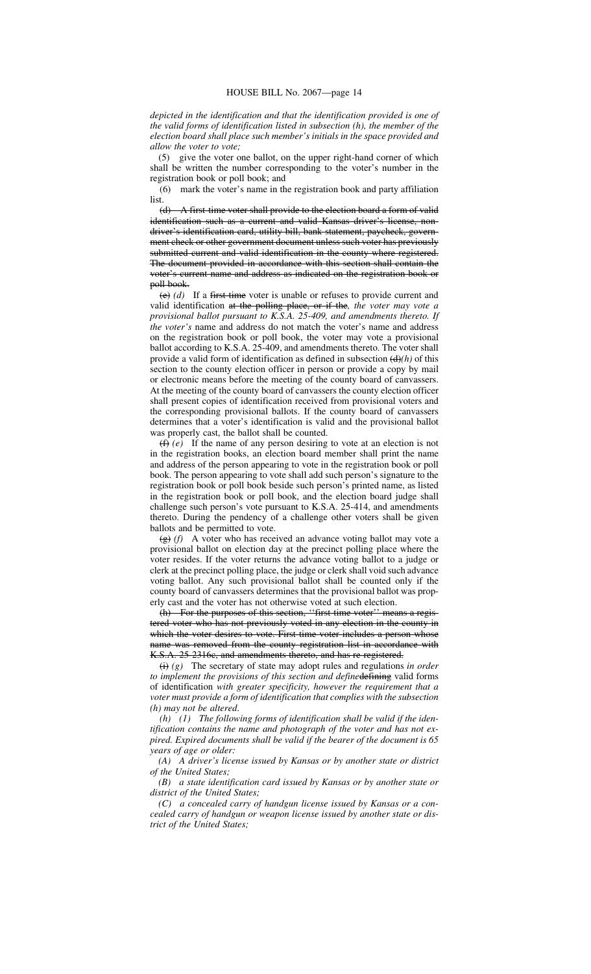*depicted in the identification and that the identification provided is one of the valid forms of identification listed in subsection (h), the member of the election board shall place such member's initials in the space provided and allow the voter to vote;*

(5) give the voter one ballot, on the upper right-hand corner of which shall be written the number corresponding to the voter's number in the registration book or poll book; and

(6) mark the voter's name in the registration book and party affiliation list.

(d) A first-time voter shall provide to the election board a form of valid identification such as a current and valid Kansas driver's license, nondriver's identification card, utility bill, bank statement, paycheck, government check or other government document unless such voter has previously submitted current and valid identification in the county where registered. The document provided in accordance with this section shall contain the voter's current name and address as indicated on the registration book or poll book.

(e) *(d)* If a first-time voter is unable or refuses to provide current and valid identification at the polling place, or if the*, the voter may vote a provisional ballot pursuant to K.S.A. 25-409, and amendments thereto. If the voter's* name and address do not match the voter's name and address on the registration book or poll book, the voter may vote a provisional ballot according to K.S.A. 25-409, and amendments thereto. The voter shall provide a valid form of identification as defined in subsection  $(d)$ *(h)* of this section to the county election officer in person or provide a copy by mail or electronic means before the meeting of the county board of canvassers. At the meeting of the county board of canvassers the county election officer shall present copies of identification received from provisional voters and the corresponding provisional ballots. If the county board of canvassers determines that a voter's identification is valid and the provisional ballot was properly cast, the ballot shall be counted.

(f) *(e)* If the name of any person desiring to vote at an election is not in the registration books, an election board member shall print the name and address of the person appearing to vote in the registration book or poll book. The person appearing to vote shall add such person's signature to the registration book or poll book beside such person's printed name, as listed in the registration book or poll book, and the election board judge shall challenge such person's vote pursuant to K.S.A. 25-414, and amendments thereto. During the pendency of a challenge other voters shall be given ballots and be permitted to vote.

(g) *(f)* A voter who has received an advance voting ballot may vote a provisional ballot on election day at the precinct polling place where the voter resides. If the voter returns the advance voting ballot to a judge or clerk at the precinct polling place, the judge or clerk shall void such advance voting ballot. Any such provisional ballot shall be counted only if the county board of canvassers determines that the provisional ballot was properly cast and the voter has not otherwise voted at such election.

(h) For the purposes of this section, ''first-time voter'' means a registered voter who has not previously voted in any election in the county in which the voter desires to vote. First-time voter includes a person whose name was removed from the county registration list in accordance with K.S.A. 25-2316c, and amendments thereto, and has re-registered.

(i) *(g)* The secretary of state may adopt rules and regulations *in order* to implement the provisions of this section and definedefining valid forms of identification *with greater specificity, however the requirement that a voter must provide a form of identification that complies with the subsection (h) may not be altered*.

*(h) (1) The following forms of identification shall be valid if the identification contains the name and photograph of the voter and has not expired. Expired documents shall be valid if the bearer of the document is 65 years of age or older:*

*(A) A driver's license issued by Kansas or by another state or district of the United States;*

*(B) a state identification card issued by Kansas or by another state or district of the United States;*

*(C) a concealed carry of handgun license issued by Kansas or a concealed carry of handgun or weapon license issued by another state or district of the United States;*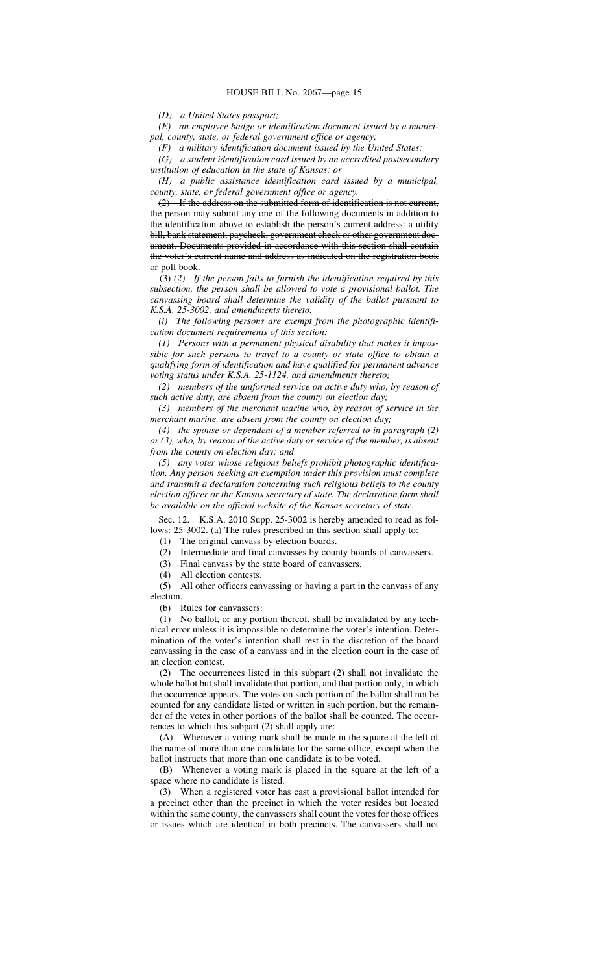*(D) a United States passport;*

*(E) an employee badge or identification document issued by a municipal, county, state, or federal government office or agency;*

*(F) a military identification document issued by the United States;*

*(G) a student identification card issued by an accredited postsecondary institution of education in the state of Kansas; or*

*(H) a public assistance identification card issued by a municipal, county, state, or federal government office or agency.*

(2) If the address on the submitted form of identification is not current, the person may submit any one of the following documents in addition to the identification above to establish the person's current address: a utility bill, bank statement, paycheck, government check or other government document. Documents provided in accordance with this section shall contain the voter's current name and address as indicated on the registration book or poll book.

(3) *(2) If the person fails to furnish the identification required by this subsection, the person shall be allowed to vote a provisional ballot. The canvassing board shall determine the validity of the ballot pursuant to K.S.A. 25-3002, and amendments thereto.*

*(i) The following persons are exempt from the photographic identification document requirements of this section:*

*(1) Persons with a permanent physical disability that makes it impossible for such persons to travel to a county or state office to obtain a qualifying form of identification and have qualified for permanent advance voting status under K.S.A. 25-1124, and amendments thereto;*

*(2) members of the uniformed service on active duty who, by reason of such active duty, are absent from the county on election day;*

*(3) members of the merchant marine who, by reason of service in the merchant marine, are absent from the county on election day;*

*(4) the spouse or dependent of a member referred to in paragraph (2) or (3), who, by reason of the active duty or service of the member, is absent from the county on election day; and*

*(5) any voter whose religious beliefs prohibit photographic identification. Any person seeking an exemption under this provision must complete and transmit a declaration concerning such religious beliefs to the county election officer or the Kansas secretary of state. The declaration form shall be available on the official website of the Kansas secretary of state.*

Sec. 12. K.S.A. 2010 Supp. 25-3002 is hereby amended to read as follows: 25-3002. (a) The rules prescribed in this section shall apply to:

(1) The original canvass by election boards.

(2) Intermediate and final canvasses by county boards of canvassers.

(3) Final canvass by the state board of canvassers.

(4) All election contests.

(5) All other officers canvassing or having a part in the canvass of any election.

(b) Rules for canvassers:

(1) No ballot, or any portion thereof, shall be invalidated by any technical error unless it is impossible to determine the voter's intention. Determination of the voter's intention shall rest in the discretion of the board canvassing in the case of a canvass and in the election court in the case of an election contest.

(2) The occurrences listed in this subpart (2) shall not invalidate the whole ballot but shall invalidate that portion, and that portion only, in which the occurrence appears. The votes on such portion of the ballot shall not be counted for any candidate listed or written in such portion, but the remainder of the votes in other portions of the ballot shall be counted. The occurrences to which this subpart (2) shall apply are:

(A) Whenever a voting mark shall be made in the square at the left of the name of more than one candidate for the same office, except when the ballot instructs that more than one candidate is to be voted.

(B) Whenever a voting mark is placed in the square at the left of a space where no candidate is listed.

(3) When a registered voter has cast a provisional ballot intended for a precinct other than the precinct in which the voter resides but located within the same county, the canvassers shall count the votes for those offices or issues which are identical in both precincts. The canvassers shall not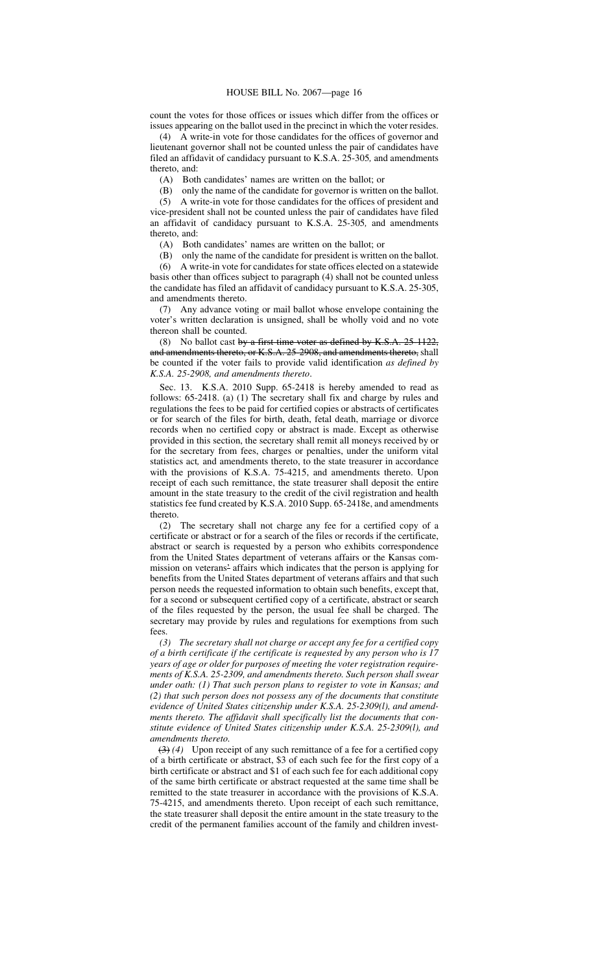count the votes for those offices or issues which differ from the offices or issues appearing on the ballot used in the precinct in which the voter resides.

(4) A write-in vote for those candidates for the offices of governor and lieutenant governor shall not be counted unless the pair of candidates have filed an affidavit of candidacy pursuant to K.S.A. 25-305*,* and amendments thereto, and:

(A) Both candidates' names are written on the ballot; or

(B) only the name of the candidate for governor is written on the ballot.

(5) A write-in vote for those candidates for the offices of president and vice-president shall not be counted unless the pair of candidates have filed an affidavit of candidacy pursuant to K.S.A. 25-305*,* and amendments thereto, and:

(A) Both candidates' names are written on the ballot; or

(B) only the name of the candidate for president is written on the ballot.<br>(6) A write-in vote for candidates for state offices elected on a statewide (6) A write-in vote for candidates for state offices elected on a statewide basis other than offices subject to paragraph (4) shall not be counted unless the candidate has filed an affidavit of candidacy pursuant to K.S.A. 25-305, and amendments thereto.

(7) Any advance voting or mail ballot whose envelope containing the voter's written declaration is unsigned, shall be wholly void and no vote thereon shall be counted.

(8) No ballot cast by a first-time voter as defined by K.S.A. 25-1122, and amendments thereto, or K.S.A. 25-2908, and amendments thereto, shall be counted if the voter fails to provide valid identification *as defined by K.S.A. 25-2908, and amendments thereto*.

Sec. 13. K.S.A. 2010 Supp. 65-2418 is hereby amended to read as follows: 65-2418. (a) (1) The secretary shall fix and charge by rules and regulations the fees to be paid for certified copies or abstracts of certificates or for search of the files for birth, death, fetal death, marriage or divorce records when no certified copy or abstract is made. Except as otherwise provided in this section, the secretary shall remit all moneys received by or for the secretary from fees, charges or penalties, under the uniform vital statistics act*,* and amendments thereto, to the state treasurer in accordance with the provisions of K.S.A. 75-4215, and amendments thereto. Upon receipt of each such remittance, the state treasurer shall deposit the entire amount in the state treasury to the credit of the civil registration and health statistics fee fund created by K.S.A. 2010 Supp. 65-2418e, and amendments thereto.

(2) The secretary shall not charge any fee for a certified copy of a certificate or abstract or for a search of the files or records if the certificate, abstract or search is requested by a person who exhibits correspondence from the United States department of veterans affairs or the Kansas commission on veterans' affairs which indicates that the person is applying for benefits from the United States department of veterans affairs and that such person needs the requested information to obtain such benefits, except that, for a second or subsequent certified copy of a certificate, abstract or search of the files requested by the person, the usual fee shall be charged. The secretary may provide by rules and regulations for exemptions from such fees.

*(3) The secretary shall not charge or accept any fee for a certified copy of a birth certificate if the certificate is requested by any person who is 17 years of age or older for purposes of meeting the voter registration requirements of K.S.A. 25-2309, and amendments thereto. Such person shall swear under oath: (1) That such person plans to register to vote in Kansas; and (2) that such person does not possess any of the documents that constitute evidence of United States citizenship under K.S.A. 25-2309(l), and amendments thereto. The affidavit shall specifically list the documents that constitute evidence of United States citizenship under K.S.A. 25-2309(l), and amendments thereto.*

(3) *(4)* Upon receipt of any such remittance of a fee for a certified copy of a birth certificate or abstract, \$3 of each such fee for the first copy of a birth certificate or abstract and \$1 of each such fee for each additional copy of the same birth certificate or abstract requested at the same time shall be remitted to the state treasurer in accordance with the provisions of K.S.A. 75-4215, and amendments thereto. Upon receipt of each such remittance, the state treasurer shall deposit the entire amount in the state treasury to the credit of the permanent families account of the family and children invest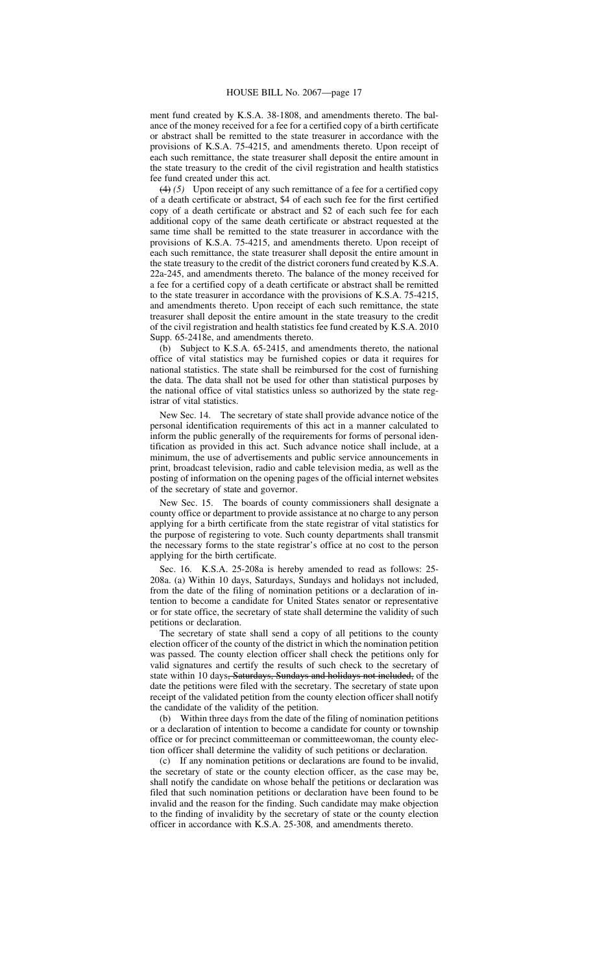ment fund created by K.S.A. 38-1808, and amendments thereto. The balance of the money received for a fee for a certified copy of a birth certificate or abstract shall be remitted to the state treasurer in accordance with the provisions of K.S.A. 75-4215, and amendments thereto. Upon receipt of each such remittance, the state treasurer shall deposit the entire amount in the state treasury to the credit of the civil registration and health statistics fee fund created under this act.

(4) *(5)* Upon receipt of any such remittance of a fee for a certified copy of a death certificate or abstract, \$4 of each such fee for the first certified copy of a death certificate or abstract and \$2 of each such fee for each additional copy of the same death certificate or abstract requested at the same time shall be remitted to the state treasurer in accordance with the provisions of K.S.A. 75-4215, and amendments thereto. Upon receipt of each such remittance, the state treasurer shall deposit the entire amount in the state treasury to the credit of the district coroners fund created by K.S.A. 22a-245, and amendments thereto. The balance of the money received for a fee for a certified copy of a death certificate or abstract shall be remitted to the state treasurer in accordance with the provisions of K.S.A. 75-4215, and amendments thereto. Upon receipt of each such remittance, the state treasurer shall deposit the entire amount in the state treasury to the credit of the civil registration and health statistics fee fund created by K.S.A. 2010 Supp. 65-2418e, and amendments thereto.

(b) Subject to K.S.A. 65-2415, and amendments thereto, the national office of vital statistics may be furnished copies or data it requires for national statistics. The state shall be reimbursed for the cost of furnishing the data. The data shall not be used for other than statistical purposes by the national office of vital statistics unless so authorized by the state registrar of vital statistics.

New Sec. 14. The secretary of state shall provide advance notice of the personal identification requirements of this act in a manner calculated to inform the public generally of the requirements for forms of personal identification as provided in this act. Such advance notice shall include, at a minimum, the use of advertisements and public service announcements in print, broadcast television, radio and cable television media, as well as the posting of information on the opening pages of the official internet websites of the secretary of state and governor.

New Sec. 15. The boards of county commissioners shall designate a county office or department to provide assistance at no charge to any person applying for a birth certificate from the state registrar of vital statistics for the purpose of registering to vote. Such county departments shall transmit the necessary forms to the state registrar's office at no cost to the person applying for the birth certificate.

Sec. 16. K.S.A. 25-208a is hereby amended to read as follows: 25- 208a. (a) Within 10 days, Saturdays, Sundays and holidays not included, from the date of the filing of nomination petitions or a declaration of intention to become a candidate for United States senator or representative or for state office, the secretary of state shall determine the validity of such petitions or declaration.

The secretary of state shall send a copy of all petitions to the county election officer of the county of the district in which the nomination petition was passed. The county election officer shall check the petitions only for valid signatures and certify the results of such check to the secretary of state within 10 days<del>, Saturdays, Sundays and holidays not included,</del> of the date the petitions were filed with the secretary. The secretary of state upon receipt of the validated petition from the county election officer shall notify the candidate of the validity of the petition.

(b) Within three days from the date of the filing of nomination petitions or a declaration of intention to become a candidate for county or township office or for precinct committeeman or committeewoman, the county election officer shall determine the validity of such petitions or declaration.

(c) If any nomination petitions or declarations are found to be invalid, the secretary of state or the county election officer, as the case may be, shall notify the candidate on whose behalf the petitions or declaration was filed that such nomination petitions or declaration have been found to be invalid and the reason for the finding. Such candidate may make objection to the finding of invalidity by the secretary of state or the county election officer in accordance with K.S.A. 25-308*,* and amendments thereto.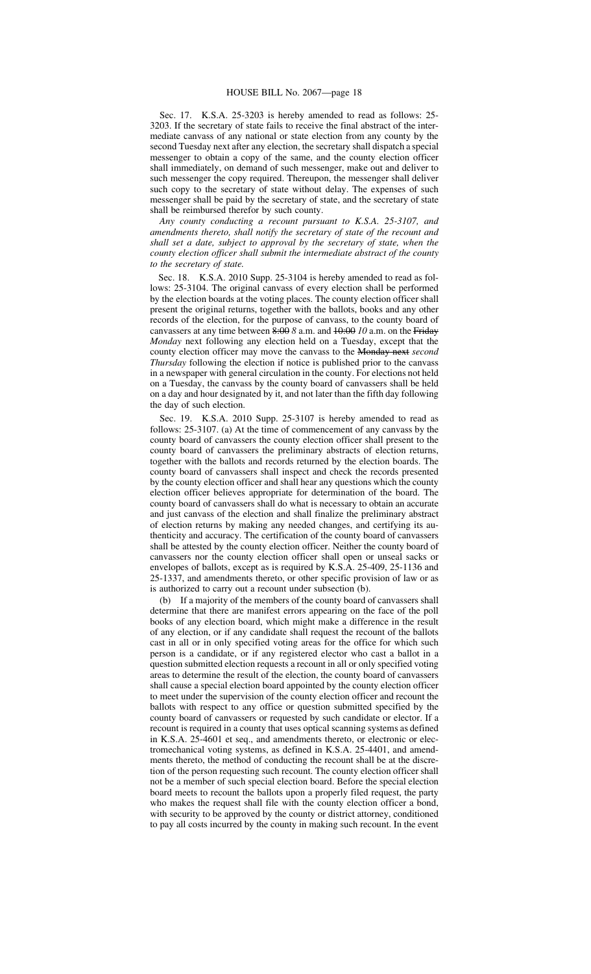Sec. 17. K.S.A. 25-3203 is hereby amended to read as follows: 25- 3203. If the secretary of state fails to receive the final abstract of the intermediate canvass of any national or state election from any county by the second Tuesday next after any election, the secretary shall dispatch a special messenger to obtain a copy of the same, and the county election officer shall immediately, on demand of such messenger, make out and deliver to such messenger the copy required. Thereupon, the messenger shall deliver such copy to the secretary of state without delay. The expenses of such messenger shall be paid by the secretary of state, and the secretary of state shall be reimbursed therefor by such county.

*Any county conducting a recount pursuant to K.S.A. 25-3107, and amendments thereto, shall notify the secretary of state of the recount and shall set a date, subject to approval by the secretary of state, when the county election officer shall submit the intermediate abstract of the county to the secretary of state.*

Sec. 18. K.S.A. 2010 Supp. 25-3104 is hereby amended to read as follows: 25-3104. The original canvass of every election shall be performed by the election boards at the voting places. The county election officer shall present the original returns, together with the ballots, books and any other records of the election, for the purpose of canvass, to the county board of canvassers at any time between 8:00 *8* a.m. and 10:00 *10* a.m. on the Friday *Monday* next following any election held on a Tuesday, except that the county election officer may move the canvass to the Monday next *second Thursday* following the election if notice is published prior to the canvass in a newspaper with general circulation in the county. For elections not held on a Tuesday, the canvass by the county board of canvassers shall be held on a day and hour designated by it, and not later than the fifth day following the day of such election.

Sec. 19. K.S.A. 2010 Supp. 25-3107 is hereby amended to read as follows: 25-3107. (a) At the time of commencement of any canvass by the county board of canvassers the county election officer shall present to the county board of canvassers the preliminary abstracts of election returns, together with the ballots and records returned by the election boards. The county board of canvassers shall inspect and check the records presented by the county election officer and shall hear any questions which the county election officer believes appropriate for determination of the board. The county board of canvassers shall do what is necessary to obtain an accurate and just canvass of the election and shall finalize the preliminary abstract of election returns by making any needed changes, and certifying its authenticity and accuracy. The certification of the county board of canvassers shall be attested by the county election officer. Neither the county board of canvassers nor the county election officer shall open or unseal sacks or envelopes of ballots, except as is required by K.S.A. 25-409, 25-1136 and 25-1337, and amendments thereto, or other specific provision of law or as is authorized to carry out a recount under subsection (b).

(b) If a majority of the members of the county board of canvassers shall determine that there are manifest errors appearing on the face of the poll books of any election board, which might make a difference in the result of any election, or if any candidate shall request the recount of the ballots cast in all or in only specified voting areas for the office for which such person is a candidate, or if any registered elector who cast a ballot in a question submitted election requests a recount in all or only specified voting areas to determine the result of the election, the county board of canvassers shall cause a special election board appointed by the county election officer to meet under the supervision of the county election officer and recount the ballots with respect to any office or question submitted specified by the county board of canvassers or requested by such candidate or elector. If a recount is required in a county that uses optical scanning systems as defined in K.S.A. 25-4601 et seq., and amendments thereto, or electronic or electromechanical voting systems, as defined in K.S.A. 25-4401, and amendments thereto, the method of conducting the recount shall be at the discretion of the person requesting such recount. The county election officer shall not be a member of such special election board. Before the special election board meets to recount the ballots upon a properly filed request, the party who makes the request shall file with the county election officer a bond, with security to be approved by the county or district attorney, conditioned to pay all costs incurred by the county in making such recount. In the event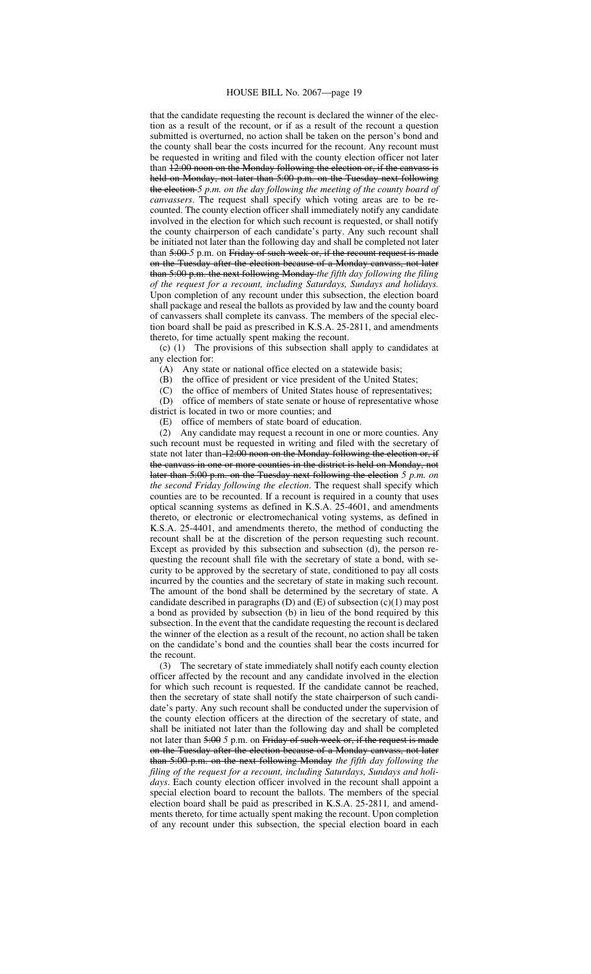## HOUSE BILL No. 2067—page 19

that the candidate requesting the recount is declared the winner of the election as a result of the recount, or if as a result of the recount a question submitted is overturned, no action shall be taken on the person's bond and the county shall bear the costs incurred for the recount. Any recount must be requested in writing and filed with the county election officer not later than  $12:00$  noon on the Monday following the election or, if the canvass is held on Monday, not later than 5:00 p.m. on the Tuesday next following the election *5 p.m. on the day following the meeting of the county board of canvassers*. The request shall specify which voting areas are to be recounted. The county election officer shall immediately notify any candidate involved in the election for which such recount is requested, or shall notify the county chairperson of each candidate's party. Any such recount shall be initiated not later than the following day and shall be completed not later than 5:00-5 p.m. on Friday of such week or, if the recount request is made on the Tuesday after the election because of a Monday canvass, not later than 5:00 p.m. the next following Monday *the fifth day following the filing of the request for a recount, including Saturdays, Sundays and holidays.* Upon completion of any recount under this subsection, the election board shall package and reseal the ballots as provided by law and the county board of canvassers shall complete its canvass. The members of the special election board shall be paid as prescribed in K.S.A. 25-2811, and amendments thereto, for time actually spent making the recount.

(c) (1) The provisions of this subsection shall apply to candidates at any election for:

(A) Any state or national office elected on a statewide basis;

(B) the office of president or vice president of the United States;

(C) the office of members of United States house of representatives;

(D) office of members of state senate or house of representative whose district is located in two or more counties; and

(E) office of members of state board of education.

(2) Any candidate may request a recount in one or more counties. Any such recount must be requested in writing and filed with the secretary of state not later than 12:00 noon on the Monday following the election or, if the canvass in one or more counties in the district is held on Monday, not later than 5:00 p.m. on the Tuesday next following the election *5 p.m. on the second Friday following the election*. The request shall specify which counties are to be recounted. If a recount is required in a county that uses optical scanning systems as defined in K.S.A. 25-4601, and amendments thereto, or electronic or electromechanical voting systems, as defined in K.S.A. 25-4401, and amendments thereto, the method of conducting the recount shall be at the discretion of the person requesting such recount. Except as provided by this subsection and subsection (d), the person requesting the recount shall file with the secretary of state a bond, with security to be approved by the secretary of state, conditioned to pay all costs incurred by the counties and the secretary of state in making such recount. The amount of the bond shall be determined by the secretary of state. A candidate described in paragraphs (D) and (E) of subsection (c)(1) may post a bond as provided by subsection (b) in lieu of the bond required by this subsection. In the event that the candidate requesting the recount is declared the winner of the election as a result of the recount, no action shall be taken on the candidate's bond and the counties shall bear the costs incurred for the recount.

(3) The secretary of state immediately shall notify each county election officer affected by the recount and any candidate involved in the election for which such recount is requested. If the candidate cannot be reached, then the secretary of state shall notify the state chairperson of such candidate's party. Any such recount shall be conducted under the supervision of the county election officers at the direction of the secretary of state, and shall be initiated not later than the following day and shall be completed not later than 5:00 *5* p.m. on Friday of such week or, if the request is made on the Tuesday after the election because of a Monday canvass, not later than 5:00 p.m. on the next following Monday *the fifth day following the filing of the request for a recount, including Saturdays, Sundays and holidays*. Each county election officer involved in the recount shall appoint a special election board to recount the ballots. The members of the special election board shall be paid as prescribed in K.S.A. 25-2811*,* and amendments thereto*,* for time actually spent making the recount. Upon completion of any recount under this subsection, the special election board in each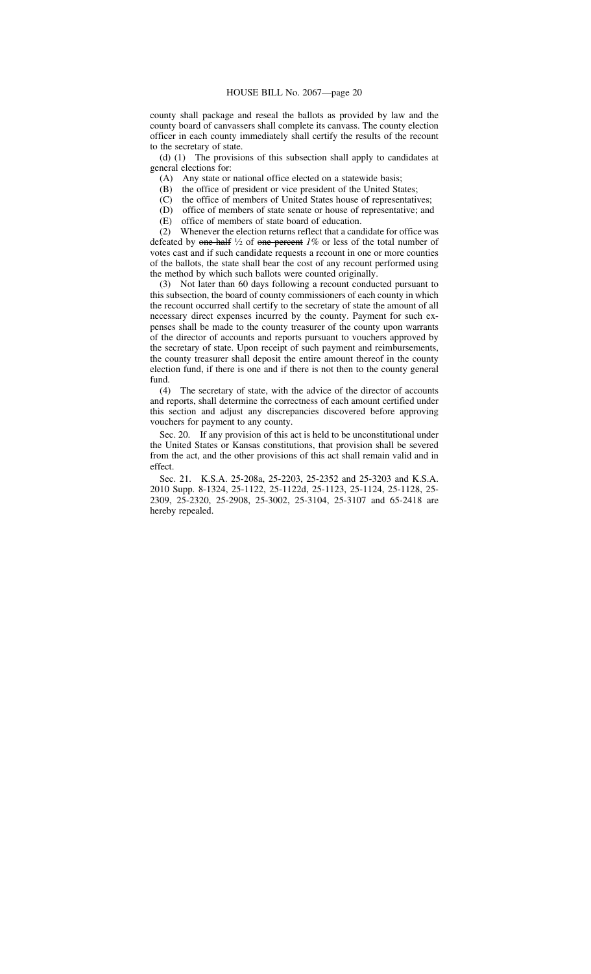county shall package and reseal the ballots as provided by law and the county board of canvassers shall complete its canvass. The county election officer in each county immediately shall certify the results of the recount to the secretary of state.

(d) (1) The provisions of this subsection shall apply to candidates at general elections for:

(A) Any state or national office elected on a statewide basis;

(B) the office of president or vice president of the United States;

(C) the office of members of United States house of representatives;

(D) office of members of state senate or house of representative; and

(E) office of members of state board of education.

(2) Whenever the election returns reflect that a candidate for office was defeated by one-half <sup>1</sup> ⁄<sup>2</sup> of one percent *1%* or less of the total number of votes cast and if such candidate requests a recount in one or more counties of the ballots, the state shall bear the cost of any recount performed using the method by which such ballots were counted originally.

(3) Not later than 60 days following a recount conducted pursuant to this subsection, the board of county commissioners of each county in which the recount occurred shall certify to the secretary of state the amount of all necessary direct expenses incurred by the county. Payment for such expenses shall be made to the county treasurer of the county upon warrants of the director of accounts and reports pursuant to vouchers approved by the secretary of state. Upon receipt of such payment and reimbursements, the county treasurer shall deposit the entire amount thereof in the county election fund, if there is one and if there is not then to the county general fund.

(4) The secretary of state, with the advice of the director of accounts and reports, shall determine the correctness of each amount certified under this section and adjust any discrepancies discovered before approving vouchers for payment to any county.

Sec. 20. If any provision of this act is held to be unconstitutional under the United States or Kansas constitutions, that provision shall be severed from the act, and the other provisions of this act shall remain valid and in effect.

Sec. 21. K.S.A. 25-208a, 25-2203, 25-2352 and 25-3203 and K.S.A. 2010 Supp. 8-1324, 25-1122, 25-1122d, 25-1123, 25-1124, 25-1128, 25- 2309, 25-2320, 25-2908, 25-3002, 25-3104, 25-3107 and 65-2418 are hereby repealed.